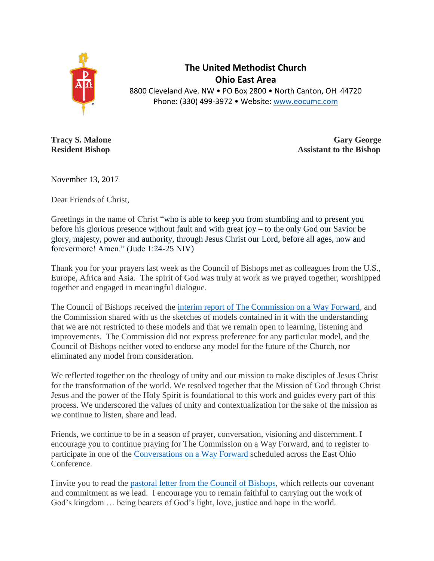

**The United Methodist Church Ohio East Area** 8800 Cleveland Ave. NW • PO Box 2800 • North Canton, OH 44720 Phone: (330) 499-3972 • Website: [www.eocumc.com](http://www.eocumc.com/)

**Tracy S. Malone Gary George Resident Bishop Assistant to the Bishop** 

November 13, 2017

Dear Friends of Christ,

Greetings in the name of Christ "who is able to keep you from stumbling and to present you before his glorious presence without fault and with great joy – to the only God our Savior be glory, majesty, power and authority, through Jesus Christ our Lord, before all ages, now and forevermore! Amen." (Jude 1:24-25 NIV)

Thank you for your prayers last week as the Council of Bishops met as colleagues from the U.S., Europe, Africa and Asia. The spirit of God was truly at work as we prayed together, worshipped together and engaged in meaningful dialogue.

The Council of Bishops received the [interim report of The Commission on a Way Forward,](http://www.umc.org/news-and-media/bishops-uphold-values-of-mission-unity-space-contextuality-in-interim-repor) and the Commission shared with us the sketches of models contained in it with the understanding that we are not restricted to these models and that we remain open to learning, listening and improvements. The Commission did not express preference for any particular model, and the Council of Bishops neither voted to endorse any model for the future of the Church, nor eliminated any model from consideration.

We reflected together on the theology of unity and our mission to make disciples of Jesus Christ for the transformation of the world. We resolved together that the Mission of God through Christ Jesus and the power of the Holy Spirit is foundational to this work and guides every part of this process. We underscored the values of unity and contextualization for the sake of the mission as we continue to listen, share and lead.

Friends, we continue to be in a season of prayer, conversation, visioning and discernment. I encourage you to continue praying for The Commission on a Way Forward, and to register to participate in one of the [Conversations on a Way Forward](http://www.eocumc.com/gc/index.html) scheduled across the East Ohio Conference.

I invite you to read the [pastoral letter from the Council of Bishops,](http://s3.amazonaws.com/Website_Properties/news-media/press-center/documents/COB_PASTORAL_LETTER_NOV10.pdf) which reflects our covenant and commitment as we lead. I encourage you to remain faithful to carrying out the work of God's kingdom … being bearers of God's light, love, justice and hope in the world.